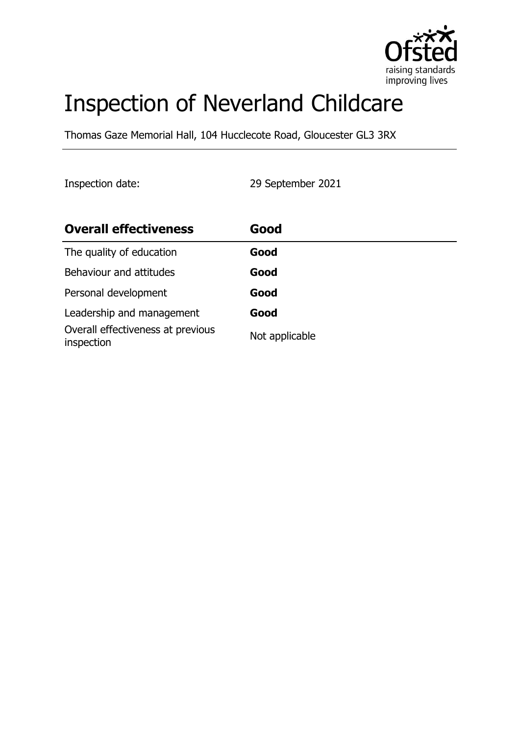

# Inspection of Neverland Childcare

Thomas Gaze Memorial Hall, 104 Hucclecote Road, Gloucester GL3 3RX

Inspection date: 29 September 2021

| <b>Overall effectiveness</b>                    | Good           |
|-------------------------------------------------|----------------|
| The quality of education                        | Good           |
| Behaviour and attitudes                         | Good           |
| Personal development                            | Good           |
| Leadership and management                       | Good           |
| Overall effectiveness at previous<br>inspection | Not applicable |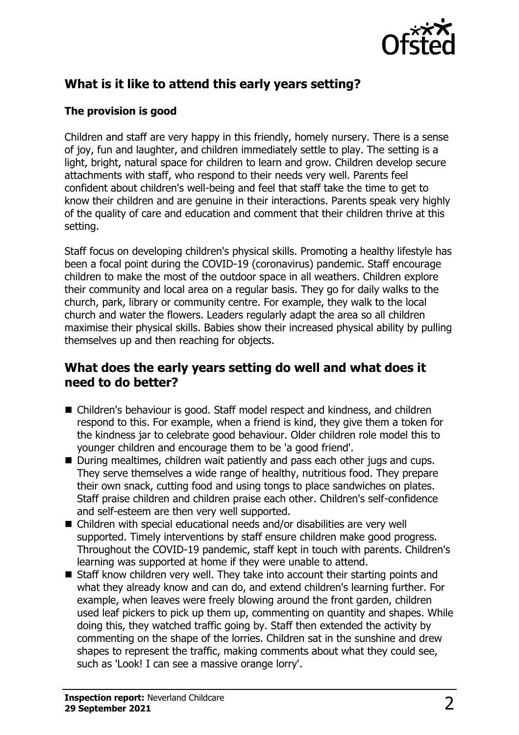

# **What is it like to attend this early years setting?**

#### **The provision is good**

Children and staff are very happy in this friendly, homely nursery. There is a sense of joy, fun and laughter, and children immediately settle to play. The setting is a light, bright, natural space for children to learn and grow. Children develop secure attachments with staff, who respond to their needs very well. Parents feel confident about children's well-being and feel that staff take the time to get to know their children and are genuine in their interactions. Parents speak very highly of the quality of care and education and comment that their children thrive at this setting.

Staff focus on developing children's physical skills. Promoting a healthy lifestyle has been a focal point during the COVID-19 (coronavirus) pandemic. Staff encourage children to make the most of the outdoor space in all weathers. Children explore their community and local area on a regular basis. They go for daily walks to the church, park, library or community centre. For example, they walk to the local church and water the flowers. Leaders regularly adapt the area so all children maximise their physical skills. Babies show their increased physical ability by pulling themselves up and then reaching for objects.

#### **What does the early years setting do well and what does it need to do better?**

- Children's behaviour is good. Staff model respect and kindness, and children respond to this. For example, when a friend is kind, they give them a token for the kindness jar to celebrate good behaviour. Older children role model this to younger children and encourage them to be 'a good friend'.
- During mealtimes, children wait patiently and pass each other jugs and cups. They serve themselves a wide range of healthy, nutritious food. They prepare their own snack, cutting food and using tongs to place sandwiches on plates. Staff praise children and children praise each other. Children's self-confidence and self-esteem are then very well supported.
- Children with special educational needs and/or disabilities are very well supported. Timely interventions by staff ensure children make good progress. Throughout the COVID-19 pandemic, staff kept in touch with parents. Children's learning was supported at home if they were unable to attend.
- Staff know children very well. They take into account their starting points and what they already know and can do, and extend children's learning further. For example, when leaves were freely blowing around the front garden, children used leaf pickers to pick up them up, commenting on quantity and shapes. While doing this, they watched traffic going by. Staff then extended the activity by commenting on the shape of the lorries. Children sat in the sunshine and drew shapes to represent the traffic, making comments about what they could see, such as 'Look! I can see a massive orange lorry'.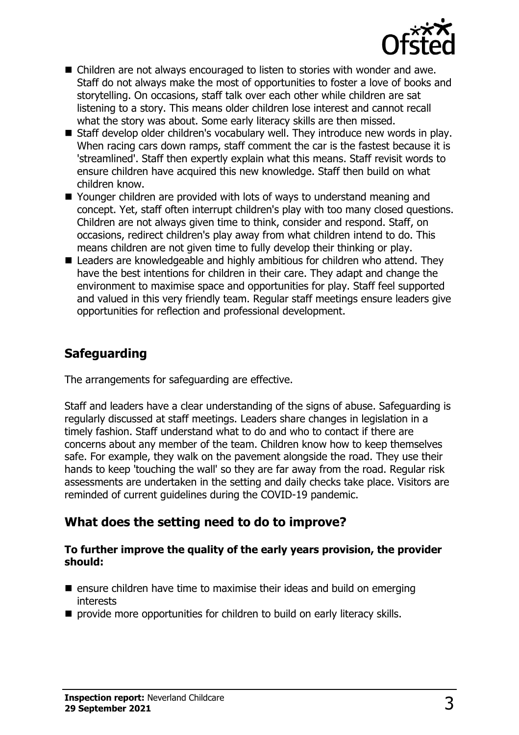

- Children are not always encouraged to listen to stories with wonder and awe. Staff do not always make the most of opportunities to foster a love of books and storytelling. On occasions, staff talk over each other while children are sat listening to a story. This means older children lose interest and cannot recall what the story was about. Some early literacy skills are then missed.
- Staff develop older children's vocabulary well. They introduce new words in play. When racing cars down ramps, staff comment the car is the fastest because it is 'streamlined'. Staff then expertly explain what this means. Staff revisit words to ensure children have acquired this new knowledge. Staff then build on what children know.
- Younger children are provided with lots of ways to understand meaning and concept. Yet, staff often interrupt children's play with too many closed questions. Children are not always given time to think, consider and respond. Staff, on occasions, redirect children's play away from what children intend to do. This means children are not given time to fully develop their thinking or play.
- Leaders are knowledgeable and highly ambitious for children who attend. They have the best intentions for children in their care. They adapt and change the environment to maximise space and opportunities for play. Staff feel supported and valued in this very friendly team. Regular staff meetings ensure leaders give opportunities for reflection and professional development.

# **Safeguarding**

The arrangements for safeguarding are effective.

Staff and leaders have a clear understanding of the signs of abuse. Safeguarding is regularly discussed at staff meetings. Leaders share changes in legislation in a timely fashion. Staff understand what to do and who to contact if there are concerns about any member of the team. Children know how to keep themselves safe. For example, they walk on the pavement alongside the road. They use their hands to keep 'touching the wall' so they are far away from the road. Regular risk assessments are undertaken in the setting and daily checks take place. Visitors are reminded of current guidelines during the COVID-19 pandemic.

#### **What does the setting need to do to improve?**

#### **To further improve the quality of the early years provision, the provider should:**

- ensure children have time to maximise their ideas and build on emerging interests
- provide more opportunities for children to build on early literacy skills.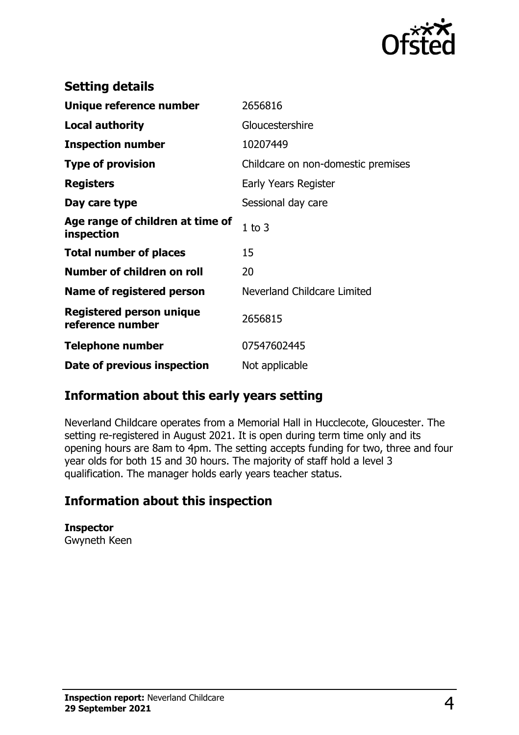

| <b>Setting details</b>                         |                                    |
|------------------------------------------------|------------------------------------|
| Unique reference number                        | 2656816                            |
| Local authority                                | Gloucestershire                    |
| <b>Inspection number</b>                       | 10207449                           |
| <b>Type of provision</b>                       | Childcare on non-domestic premises |
| <b>Registers</b>                               | Early Years Register               |
| Day care type                                  | Sessional day care                 |
| Age range of children at time of<br>inspection | $1$ to $3$                         |
| <b>Total number of places</b>                  | 15                                 |
| Number of children on roll                     | 20                                 |
| Name of registered person                      | Neverland Childcare Limited        |
| Registered person unique<br>reference number   | 2656815                            |
| <b>Telephone number</b>                        | 07547602445                        |
| Date of previous inspection                    | Not applicable                     |

#### **Information about this early years setting**

Neverland Childcare operates from a Memorial Hall in Hucclecote, Gloucester. The setting re-registered in August 2021. It is open during term time only and its opening hours are 8am to 4pm. The setting accepts funding for two, three and four year olds for both 15 and 30 hours. The majority of staff hold a level 3 qualification. The manager holds early years teacher status.

### **Information about this inspection**

**Inspector** Gwyneth Keen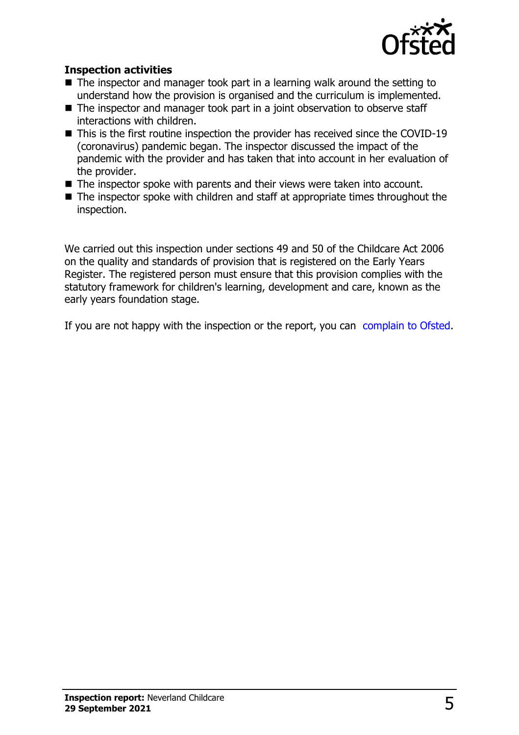

#### **Inspection activities**

- $\blacksquare$  The inspector and manager took part in a learning walk around the setting to understand how the provision is organised and the curriculum is implemented.
- The inspector and manager took part in a joint observation to observe staff interactions with children.
- This is the first routine inspection the provider has received since the COVID-19 (coronavirus) pandemic began. The inspector discussed the impact of the pandemic with the provider and has taken that into account in her evaluation of the provider.
- The inspector spoke with parents and their views were taken into account.
- The inspector spoke with children and staff at appropriate times throughout the inspection.

We carried out this inspection under sections 49 and 50 of the Childcare Act 2006 on the quality and standards of provision that is registered on the Early Years Register. The registered person must ensure that this provision complies with the statutory framework for children's learning, development and care, known as the early years foundation stage.

If you are not happy with the inspection or the report, you can [complain to Ofsted.](http://www.gov.uk/complain-ofsted-report)